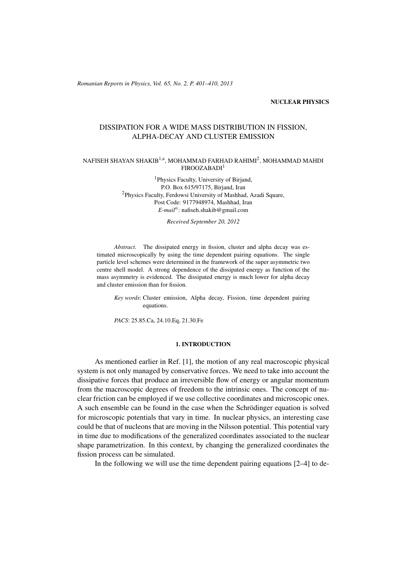(c) RRP 65(No. 2) 401–410 2013 *Romanian Reports in Physics, Vol. 65, No. 2, P. 401–410, 2013*

### NUCLEAR PHYSICS

# DISSIPATION FOR A WIDE MASS DISTRIBUTION IN FISSION, ALPHA-DECAY AND CLUSTER EMISSION

## NAFISEH SHAYAN SHAKIB $^{1, \mathrm{a}},$  MOHAMMAD FARHAD RAHIMI $^{2},$  MOHAMMAD MAHDI FIROOZABADI<sup>1</sup>

1 Physics Faculty, University of Birjand, P.O. Box 615/97175, Birjand, Iran <sup>2</sup>Physics Faculty, Ferdowsi University of Mashhad, Azadi Square, Post Code: 9177948974, Mashhad, Iran *E-mail<sup>a</sup>* : nafiseh.shakib@gmail.com

*Received September 20, 2012*

*Abstract.* The dissipated energy in fission, cluster and alpha decay was estimated microscopically by using the time dependent pairing equations. The single particle level schemes were determined in the framework of the super asymmetric two centre shell model. A strong dependence of the dissipated energy as function of the mass asymmetry is evidenced. The dissipated energy is much lower for alpha decay and cluster emission than for fission.

*Key words*: Cluster emission, Alpha decay, Fission, time dependent pairing equations.

*PACS*: 25.85.Ca, 24.10.Eq, 21.30.Fe

#### 1. INTRODUCTION

As mentioned earlier in Ref. [1], the motion of any real macroscopic physical system is not only managed by conservative forces. We need to take into account the dissipative forces that produce an irreversible flow of energy or angular momentum from the macroscopic degrees of freedom to the intrinsic ones. The concept of nuclear friction can be employed if we use collective coordinates and microscopic ones. A such ensemble can be found in the case when the Schrödinger equation is solved for microscopic potentials that vary in time. In nuclear physics, an interesting case could be that of nucleons that are moving in the Nilsson potential. This potential vary in time due to modifications of the generalized coordinates associated to the nuclear shape parametrization. In this context, by changing the generalized coordinates the fission process can be simulated.

In the following we will use the time dependent pairing equations [2–4] to de-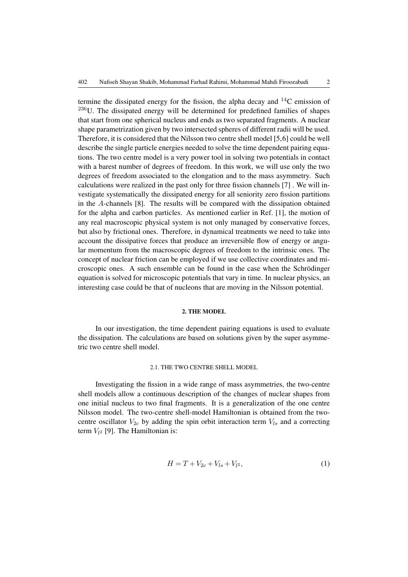termine the dissipated energy for the fission, the alpha decay and  $^{14}$ C emission of  $236$ U. The dissipated energy will be determined for predefined families of shapes that start from one spherical nucleus and ends as two separated fragments. A nuclear shape parametrization given by two intersected spheres of different radii will be used. Therefore, it is considered that the Nilsson two centre shell model [5,6] could be well describe the single particle energies needed to solve the time dependent pairing equations. The two centre model is a very power tool in solving two potentials in contact with a barest number of degrees of freedom. In this work, we will use only the two degrees of freedom associated to the elongation and to the mass asymmetry. Such calculations were realized in the past only for three fission channels [7] . We will investigate systematically the dissipated energy for all seniority zero fission partitions in the *A*-channels [8]. The results will be compared with the dissipation obtained for the alpha and carbon particles. As mentioned earlier in Ref. [1], the motion of any real macroscopic physical system is not only managed by conservative forces, but also by frictional ones. Therefore, in dynamical treatments we need to take into account the dissipative forces that produce an irreversible flow of energy or angular momentum from the macroscopic degrees of freedom to the intrinsic ones. The concept of nuclear friction can be employed if we use collective coordinates and microscopic ones. A such ensemble can be found in the case when the Schrödinger equation is solved for microscopic potentials that vary in time. In nuclear physics, an interesting case could be that of nucleons that are moving in the Nilsson potential.

#### 2. THE MODEL

In our investigation, the time dependent pairing equations is used to evaluate the dissipation. The calculations are based on solutions given by the super asymmetric two centre shell model.

## 2.1. THE TWO CENTRE SHELL MODEL

Investigating the fission in a wide range of mass asymmetries, the two-centre shell models allow a continuous description of the changes of nuclear shapes from one initial nucleus to two final fragments. It is a generalization of the one centre Nilsson model. The two-centre shell-model Hamiltonian is obtained from the twocentre oscillator  $V_{2c}$  by adding the spin orbit interaction term  $V_{ls}$  and a correcting term  $V_{l^2}$  [9]. The Hamiltonian is:

$$
H = T + V_{2c} + V_{ls} + V_{l^2},\tag{1}
$$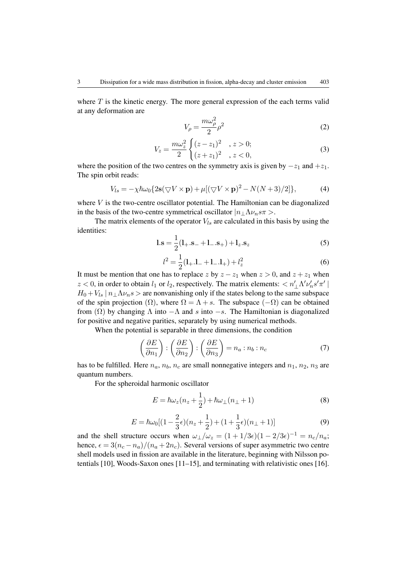where  $T$  is the kinetic energy. The more general expression of the each terms valid at any deformation are

$$
V_{\rho} = \frac{m\omega_{\rho}^2}{2}\rho^2
$$
 (2)

$$
V_z = \frac{m\omega_z^2}{2} \begin{cases} (z-z_1)^2, & z > 0; \\ (z+z_1)^2, & z < 0, \end{cases}
$$
 (3)

where the position of the two centres on the symmetry axis is given by  $-z_1$  and  $+z_1$ . The spin orbit reads:

$$
V_{ls} = -\chi \hbar \omega_0 \{ 2\mathbf{s} (\nabla V \times \mathbf{p}) + \mu [ (\nabla V \times \mathbf{p})^2 - N(N+3)/2 ] \},\tag{4}
$$

where *V* is the two-centre oscillator potential. The Hamiltonian can be diagonalized in the basis of the two-centre symmetrical oscillator  $|n_\perp \Lambda \nu_n s \pi >$ .

The matrix elements of the operator  $V_{ls}$  are calculated in this basis by using the identities:

$$
l.s = \frac{1}{2}(l_{+}.s_{-} + l_{-.}s_{+}) + l_{z}.s_{z}
$$
\n(5)

$$
l^2 = \frac{1}{2}(\mathbf{l}_{+}.\mathbf{l}_{-} + \mathbf{l}_{-}.\mathbf{l}_{+}) + l_z^2
$$
\n(6)

It must be mention that one has to replace *z* by  $z - z_1$  when  $z > 0$ , and  $z + z_1$  when  $z < 0$ , in order to obtain  $l_1$  or  $l_2$ , respectively. The matrix elements:  $\langle n'_\perp \Lambda' \nu'_n s' \pi' |$  $H_0 + V_{ls}$   $n_{\perp} \Lambda \nu_n s$  > are nonvanishing only if the states belong to the same subspace of the spin projection ( $\Omega$ ), where  $\Omega = \Lambda + s$ . The subspace ( $-\Omega$ ) can be obtained from  $(\Omega)$  by changing  $\Lambda$  into  $-\Lambda$  and *s* into  $-s$ . The Hamiltonian is diagonalized for positive and negative parities, separately by using numerical methods.

When the potential is separable in three dimensions, the condition

$$
\left(\frac{\partial E}{\partial n_1}\right) : \left(\frac{\partial E}{\partial n_2}\right) : \left(\frac{\partial E}{\partial n_3}\right) = n_a : n_b : n_c \tag{7}
$$

has to be fulfilled. Here  $n_a$ ,  $n_b$ ,  $n_c$  are small nonnegative integers and  $n_1$ ,  $n_2$ ,  $n_3$  are quantum numbers.

For the spheroidal harmonic oscillator

$$
E = \hbar\omega_z(n_z + \frac{1}{2}) + \hbar\omega_\perp(n_\perp + 1)
$$
\n(8)

$$
E = \hbar\omega_0[(1 - \frac{2}{3}\epsilon)(n_z + \frac{1}{2}) + (1 + \frac{1}{3}\epsilon)(n_{\perp} + 1)]
$$
\n(9)

and the shell structure occurs when  $\omega_{\perp}/\omega_z = (1 + 1/3\epsilon)(1 - 2/3\epsilon)^{-1} = n_c/n_a$ ; hence,  $\epsilon = 3(n_c - n_a)/(n_a + 2n_c)$ . Several versions of super asymmetric two centre shell models used in fission are available in the literature, beginning with Nilsson potentials [10], Woods-Saxon ones [11–15], and terminating with relativistic ones [16].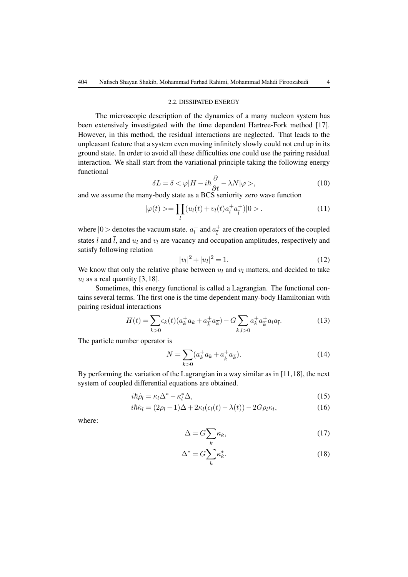#### 2.2. DISSIPATED ENERGY

The microscopic description of the dynamics of a many nucleon system has been extensively investigated with the time dependent Hartree-Fork method [17]. However, in this method, the residual interactions are neglected. That leads to the unpleasant feature that a system even moving infinitely slowly could not end up in its ground state. In order to avoid all these difficulties one could use the pairing residual interaction. We shall start from the variational principle taking the following energy functional

$$
\delta L = \delta < \varphi | H - i\hbar \frac{\partial}{\partial t} - \lambda N | \varphi >,\tag{10}
$$

and we assume the many-body state as a BCS seniority zero wave function

$$
|\varphi(t)\rangle = \prod_{l} (u_l(t) + v_l(t)a_l^+ a_{\bar{l}}^+) |0\rangle. \tag{11}
$$

where  $|0>$  denotes the vacuum state.  $a_l^+$  $\frac{1}{l}$  and  $a_{\overline{l}}^+$  $\frac{1}{l}$  are creation operators of the coupled states *l* and  $\overline{l}$ , and  $u_l$  and  $v_l$  are vacancy and occupation amplitudes, respectively and satisfy following relation

$$
|v_l|^2 + |u_l|^2 = 1.
$$
 (12)

We know that only the relative phase between  $u_l$  and  $v_l$  matters, and decided to take  $u_l$  as a real quantity [3, 18].

Sometimes, this energy functional is called a Lagrangian. The functional contains several terms. The first one is the time dependent many-body Hamiltonian with pairing residual interactions

$$
H(t) = \sum_{k>0} \epsilon_k(t) (a_k^+ a_k + a_{\overline{k}}^+ a_{\overline{k}}) - G \sum_{k,l>0} a_k^+ a_{\overline{k}}^+ a_l a_{\overline{l}}.
$$
 (13)

The particle number operator is

$$
N = \sum_{k>0} (a_k^+ a_k + a_{\overline{k}}^+ a_{\overline{k}}).
$$
 (14)

By performing the variation of the Lagrangian in a way similar as in [11,18], the next system of coupled differential equations are obtained.

$$
i\hbar\dot{\rho}_l = \kappa_l \Delta^* - \kappa_l^* \Delta, \tag{15}
$$

$$
i\hbar \dot{\kappa}_l = (2\rho_l - 1)\Delta + 2\kappa_l(\epsilon_l(t) - \lambda(t)) - 2G\rho_l \kappa_l, \tag{16}
$$

where:

$$
\Delta = G \sum_{k} \kappa_k,\tag{17}
$$

$$
\Delta^* = G \sum_k \kappa_k^*.
$$
\n(18)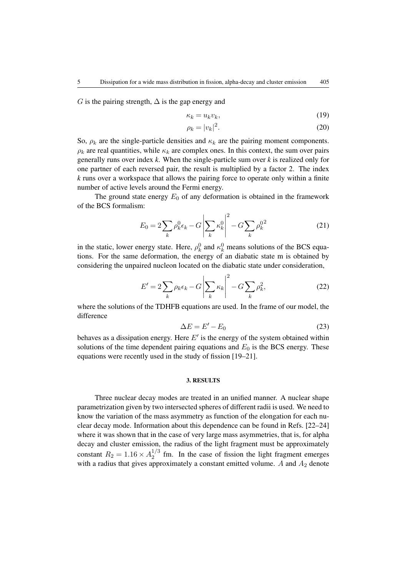*G* is the pairing strength,  $\Delta$  is the gap energy and

$$
\kappa_k = u_k v_k,\tag{19}
$$

$$
\rho_k = |v_k|^2. \tag{20}
$$

So,  $\rho_k$  are the single-particle densities and  $\kappa_k$  are the pairing moment components.  $\rho_k$  are real quantities, while  $\kappa_k$  are complex ones. In this context, the sum over pairs generally runs over index *k*. When the single-particle sum over *k* is realized only for one partner of each reversed pair, the result is multiplied by a factor 2. The index *k* runs over a workspace that allows the pairing force to operate only within a finite number of active levels around the Fermi energy.

The ground state energy  $E_0$  of any deformation is obtained in the framework of the BCS formalism:

$$
E_0 = 2\sum_k \rho_k^0 \epsilon_k - G \left| \sum_k \kappa_k^0 \right|^2 - G \sum_k \rho_k^{0^2}
$$
 (21)

in the static, lower energy state. Here,  $\rho_k^0$  and  $\kappa_k^0$  means solutions of the BCS equations. For the same deformation, the energy of an diabatic state m is obtained by considering the unpaired nucleon located on the diabatic state under consideration,

$$
E' = 2\sum_{k} \rho_k \epsilon_k - G \left| \sum_{k} \kappa_k \right|^2 - G \sum_{k} \rho_k^2, \tag{22}
$$

where the solutions of the TDHFB equations are used. In the frame of our model, the difference

$$
\Delta E = E' - E_0 \tag{23}
$$

behaves as a dissipation energy. Here  $E'$  is the energy of the system obtained within solutions of the time dependent pairing equations and  $E_0$  is the BCS energy. These equations were recently used in the study of fission [19–21].

#### 3. RESULTS

Three nuclear decay modes are treated in an unified manner. A nuclear shape parametrization given by two intersected spheres of different radii is used. We need to know the variation of the mass asymmetry as function of the elongation for each nuclear decay mode. Information about this dependence can be found in Refs. [22–24] where it was shown that in the case of very large mass asymmetries, that is, for alpha decay and cluster emission, the radius of the light fragment must be approximately constant  $R_2 = 1.16 \times A_2^{1/3}$  $\frac{1}{2}$  fm. In the case of fission the light fragment emerges with a radius that gives approximately a constant emitted volume. A and  $A_2$  denote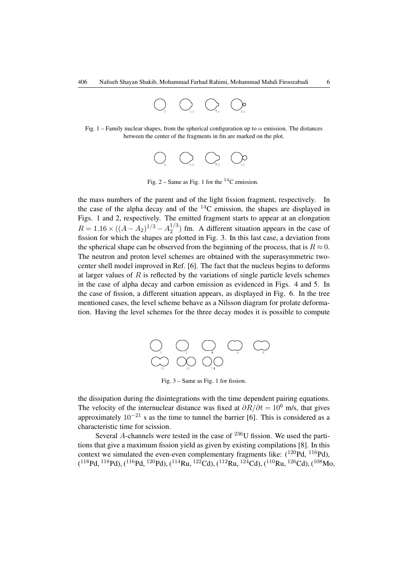

Fig. 1 – Family nuclear shapes, from the spherical configuration up to  $\alpha$  emission. The distances between the center of the fragments in fm are marked on the plot.



Fig.  $2 -$  Same as Fig. 1 for the  $^{14}$ C emission.

the mass numbers of the parent and of the light fission fragment, respectively. In the case of the alpha decay and of the  $^{14}$ C emission, the shapes are displayed in Figs. 1 and 2, respectively. The emitted fragment starts to appear at an elongation  $R = 1.16 \times ((A - A_2)^{1/3} - A_2^{1/3})$  $2^{1/3}$ ) fm. A different situation appears in the case of fission for which the shapes are plotted in Fig. 3. In this last case, a deviation from the spherical shape can be observed from the beginning of the process, that is  $R \approx 0$ . The neutron and proton level schemes are obtained with the superasymmetric twocenter shell model improved in Ref. [6]. The fact that the nucleus begins to deforms at larger values of *R* is reflected by the variations of single particle levels schemes in the case of alpha decay and carbon emission as evidenced in Figs. 4 and 5. In the case of fission, a different situation appears, as displayed in Fig. 6. In the tree mentioned cases, the level scheme behave as a Nilsson diagram for prolate deformation. Having the level schemes for the three decay modes it is possible to compute



Fig. 3 – Same as Fig. 1 for fission.

the dissipation during the disintegrations with the time dependent pairing equations. The velocity of the internuclear distance was fixed at  $\partial R/\partial t = 10^6$  m/s, that gives approximately 10*−*<sup>21</sup> s as the time to tunnel the barrier [6]. This is considered as a characteristic time for scission.

Several *A*-channels were tested in the case of  $^{236}$ U fission. We used the partitions that give a maximum fission yield as given by existing compilations [8]. In this context we simulated the even-even complementary fragments like:  $(^{120}Pd, ^{116}Pd)$ ,  $(118Pd, 118Pd), (116Pd, 120Pd), (114Ru, 122Cd), (112Ru, 124Cd), (110Ru, 126Cd), (108Mo,$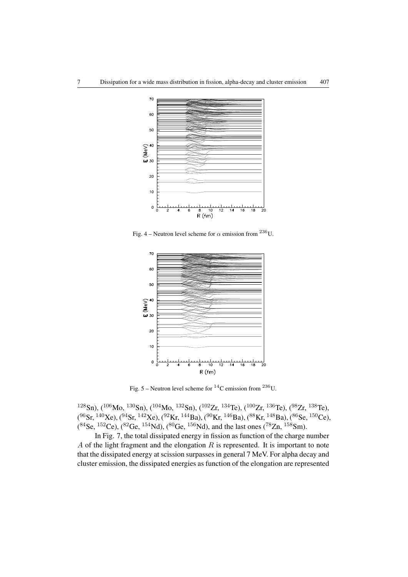

Fig. 4 – Neutron level scheme for  $\alpha$  emission from <sup>236</sup>U.



Fig. 5 – Neutron level scheme for  ${}^{14}$ C emission from  ${}^{236}$ U.

<sup>128</sup>Sn), (<sup>106</sup>Mo, <sup>130</sup>Sn), (<sup>104</sup>Mo, <sup>132</sup>Sn), (<sup>102</sup>Zr, <sup>134</sup>Te), (<sup>100</sup>Zr, <sup>136</sup>Te), (<sup>98</sup>Zr, <sup>138</sup>Te),  $(^{96}Sr,{}^{140}Xe),(^{94}Sr,{}^{142}Xe),(^{92}Kr,{}^{144}Ba),(^{90}Kr,{}^{146}Ba),(^{88}Kr,{}^{148}Ba),(^{86}Se,{}^{150}Ce),$  $(^{84}$ Se,  $^{152}$ Ce),  $(^{82}$ Ge,  $^{154}$ Nd),  $(^{80}$ Ge,  $^{156}$ Nd), and the last ones  $(^{78}$ Zn,  $^{158}$ Sm).

In Fig. 7, the total dissipated energy in fission as function of the charge number *A* of the light fragment and the elongation *R* is represented. It is important to note that the dissipated energy at scission surpasses in general 7 MeV. For alpha decay and cluster emission, the dissipated energies as function of the elongation are represented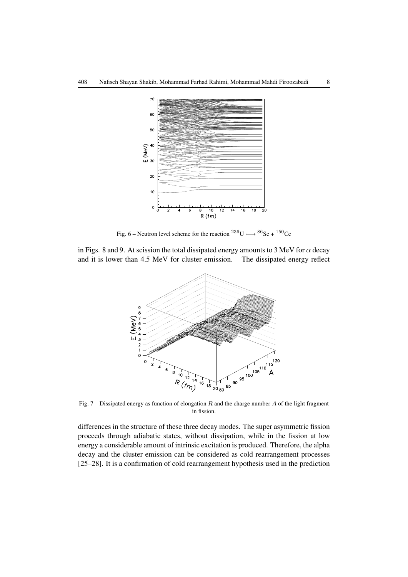

Fig. 6 – Neutron level scheme for the reaction <sup>236</sup>U  $\longmapsto$  <sup>86</sup>Se + <sup>150</sup>Ce

in Figs. 8 and 9. At scission the total dissipated energy amounts to 3 MeV for *α* decay and it is lower than 4.5 MeV for cluster emission. The dissipated energy reflect



in fission.

differences in the structure of these three decay modes. The super asymmetric fission proceeds through adiabatic states, without dissipation, while in the fission at low energy a considerable amount of intrinsic excitation is produced. Therefore, the alpha decay and the cluster emission can be considered as cold rearrangement processes [25–28]. It is a confirmation of cold rearrangement hypothesis used in the prediction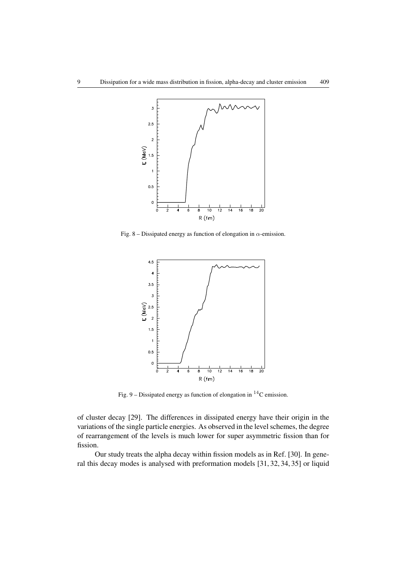

Fig. 8 – Dissipated energy as function of elongation in *α*-emission.



Fig. 9 – Dissipated energy as function of elongation in  ${}^{14}C$  emission.

of cluster decay [29]. The differences in dissipated energy have their origin in the variations of the single particle energies. As observed in the level schemes, the degree of rearrangement of the levels is much lower for super asymmetric fission than for fission.

Our study treats the alpha decay within fission models as in Ref. [30]. In general this decay modes is analysed with preformation models [31, 32, 34, 35] or liquid